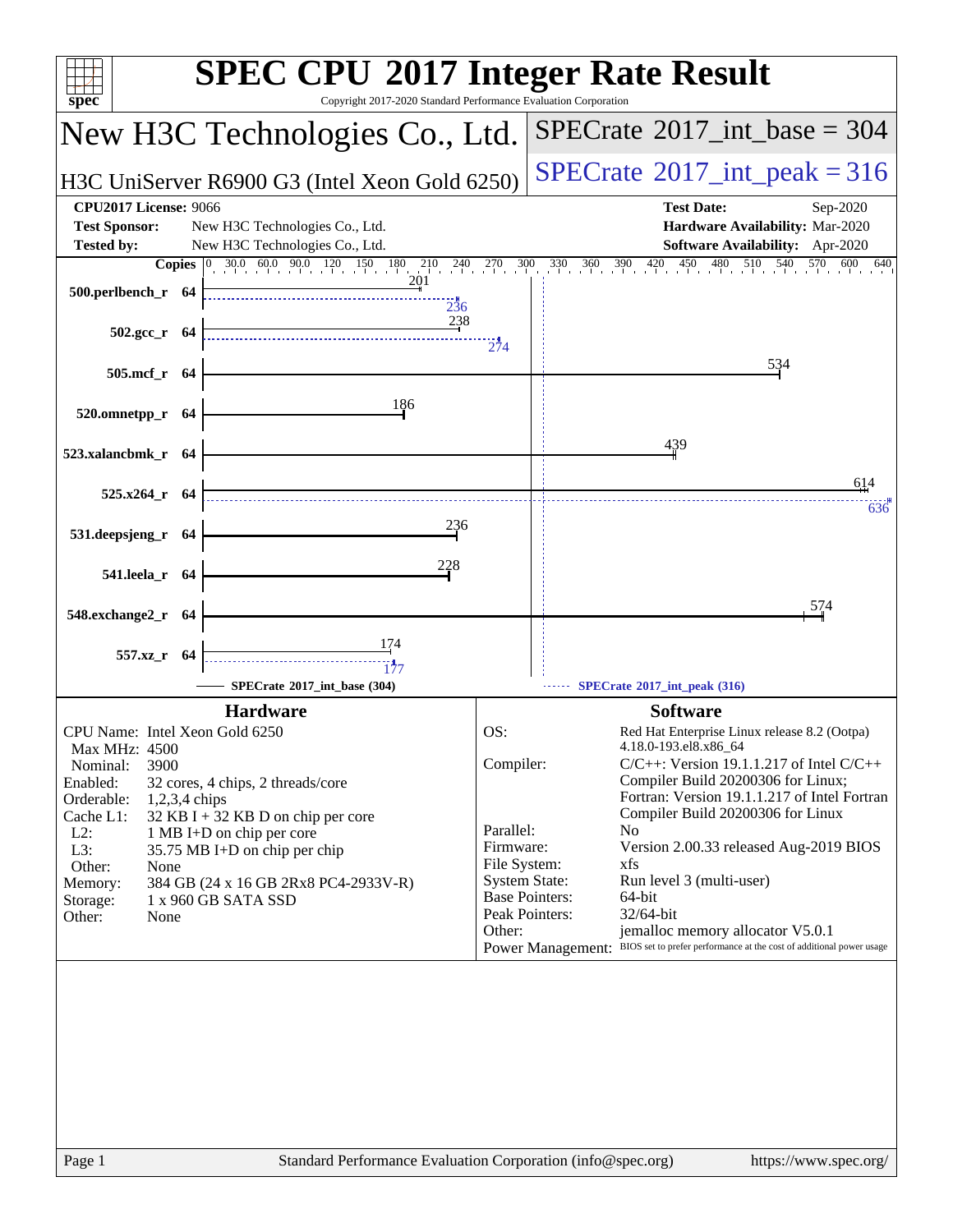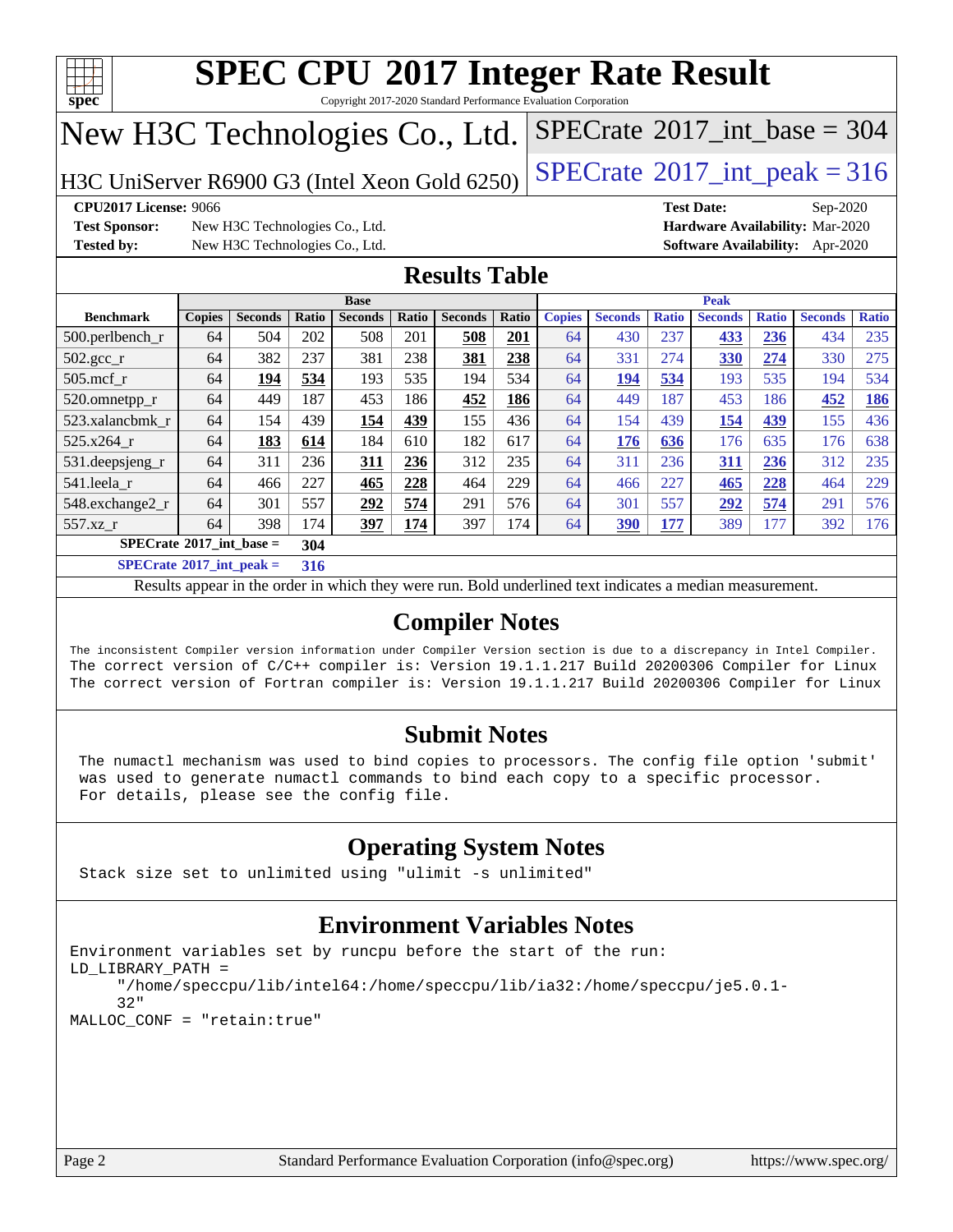

Copyright 2017-2020 Standard Performance Evaluation Corporation

# New H3C Technologies Co., Ltd.

H3C UniServer R6900 G3 (Intel Xeon Gold 6250)  $\left|$  [SPECrate](http://www.spec.org/auto/cpu2017/Docs/result-fields.html#SPECrate2017intpeak)®[2017\\_int\\_peak = 3](http://www.spec.org/auto/cpu2017/Docs/result-fields.html#SPECrate2017intpeak)16

 $SPECTate$ <sup>®</sup>[2017\\_int\\_base =](http://www.spec.org/auto/cpu2017/Docs/result-fields.html#SPECrate2017intbase) 304

**[Test Sponsor:](http://www.spec.org/auto/cpu2017/Docs/result-fields.html#TestSponsor)** New H3C Technologies Co., Ltd. **[Hardware Availability:](http://www.spec.org/auto/cpu2017/Docs/result-fields.html#HardwareAvailability)** Mar-2020 **[Tested by:](http://www.spec.org/auto/cpu2017/Docs/result-fields.html#Testedby)** New H3C Technologies Co., Ltd. **[Software Availability:](http://www.spec.org/auto/cpu2017/Docs/result-fields.html#SoftwareAvailability)** Apr-2020

**[CPU2017 License:](http://www.spec.org/auto/cpu2017/Docs/result-fields.html#CPU2017License)** 9066 **[Test Date:](http://www.spec.org/auto/cpu2017/Docs/result-fields.html#TestDate)** Sep-2020

### **[Results Table](http://www.spec.org/auto/cpu2017/Docs/result-fields.html#ResultsTable)**

|                                   | <b>Base</b>   |                |       |                |            |                | <b>Peak</b> |               |                |              |                |              |                |              |
|-----------------------------------|---------------|----------------|-------|----------------|------------|----------------|-------------|---------------|----------------|--------------|----------------|--------------|----------------|--------------|
| <b>Benchmark</b>                  | <b>Copies</b> | <b>Seconds</b> | Ratio | <b>Seconds</b> | Ratio      | <b>Seconds</b> | Ratio       | <b>Copies</b> | <b>Seconds</b> | <b>Ratio</b> | <b>Seconds</b> | <b>Ratio</b> | <b>Seconds</b> | <b>Ratio</b> |
| $500.$ perlbench_r                | 64            | 504            | 202   | 508            | 201        | 508            | 201         | 64            | 430            | 237          | 433            | 236          | 434            | 235          |
| $502.\text{sec}$                  | 64            | 382            | 237   | 381            | 238        | 381            | 238         | 64            | 331            | 274          | 330            | 274          | 330            | 275          |
| $505$ .mcf r                      | 64            | 194            | 534   | 193            | 535        | 194            | 534         | 64            | 194            | 534          | 193            | 535          | 194            | 534          |
| 520.omnetpp_r                     | 64            | 449            | 187   | 453            | 186        | 452            | 186         | 64            | 449            | 187          | 453            | 186          | 452            | 186          |
| 523.xalancbmk r                   | 64            | 154            | 439   | 154            | 439        | 155            | 436         | 64            | 154            | 439          | 154            | 439          | 155            | 436          |
| 525.x264 r                        | 64            | 183            | 614   | 184            | 610        | 182            | 617         | 64            | 176            | 636          | 176            | 635          | 176            | 638          |
| 531.deepsjeng_r                   | 64            | 311            | 236   | 311            | 236        | 312            | 235         | 64            | 311            | 236          | 311            | 236          | 312            | 235          |
| 541.leela r                       | 64            | 466            | 227   | 465            | 228        | 464            | 229         | 64            | 466            | 227          | 465            | 228          | 464            | 229          |
| 548.exchange2_r                   | 64            | 301            | 557   | 292            | 574        | 291            | 576         | 64            | 301            | 557          | 292            | 574          | 291            | 576          |
| 557.xz r                          | 64            | 398            | 174   | <u>397</u>     | <u>174</u> | 397            | 174         | 64            | 390            | <u>177</u>   | 389            | 177          | 392            | 176          |
| $SPECrate^{\circ}2017$ int base = |               |                | 304   |                |            |                |             |               |                |              |                |              |                |              |
| $C = 1$                           |               |                | ---   |                |            |                |             |               |                |              |                |              |                |              |

**[SPECrate](http://www.spec.org/auto/cpu2017/Docs/result-fields.html#SPECrate2017intpeak)[2017\\_int\\_peak =](http://www.spec.org/auto/cpu2017/Docs/result-fields.html#SPECrate2017intpeak) 316**

Results appear in the [order in which they were run](http://www.spec.org/auto/cpu2017/Docs/result-fields.html#RunOrder). Bold underlined text [indicates a median measurement](http://www.spec.org/auto/cpu2017/Docs/result-fields.html#Median).

### **[Compiler Notes](http://www.spec.org/auto/cpu2017/Docs/result-fields.html#CompilerNotes)**

The inconsistent Compiler version information under Compiler Version section is due to a discrepancy in Intel Compiler. The correct version of C/C++ compiler is: Version 19.1.1.217 Build 20200306 Compiler for Linux The correct version of Fortran compiler is: Version 19.1.1.217 Build 20200306 Compiler for Linux

### **[Submit Notes](http://www.spec.org/auto/cpu2017/Docs/result-fields.html#SubmitNotes)**

 The numactl mechanism was used to bind copies to processors. The config file option 'submit' was used to generate numactl commands to bind each copy to a specific processor. For details, please see the config file.

### **[Operating System Notes](http://www.spec.org/auto/cpu2017/Docs/result-fields.html#OperatingSystemNotes)**

Stack size set to unlimited using "ulimit -s unlimited"

### **[Environment Variables Notes](http://www.spec.org/auto/cpu2017/Docs/result-fields.html#EnvironmentVariablesNotes)**

```
Environment variables set by runcpu before the start of the run:
LD_LIBRARY_PATH =
      "/home/speccpu/lib/intel64:/home/speccpu/lib/ia32:/home/speccpu/je5.0.1-
      32"
MALLOC_CONF = "retain:true"
```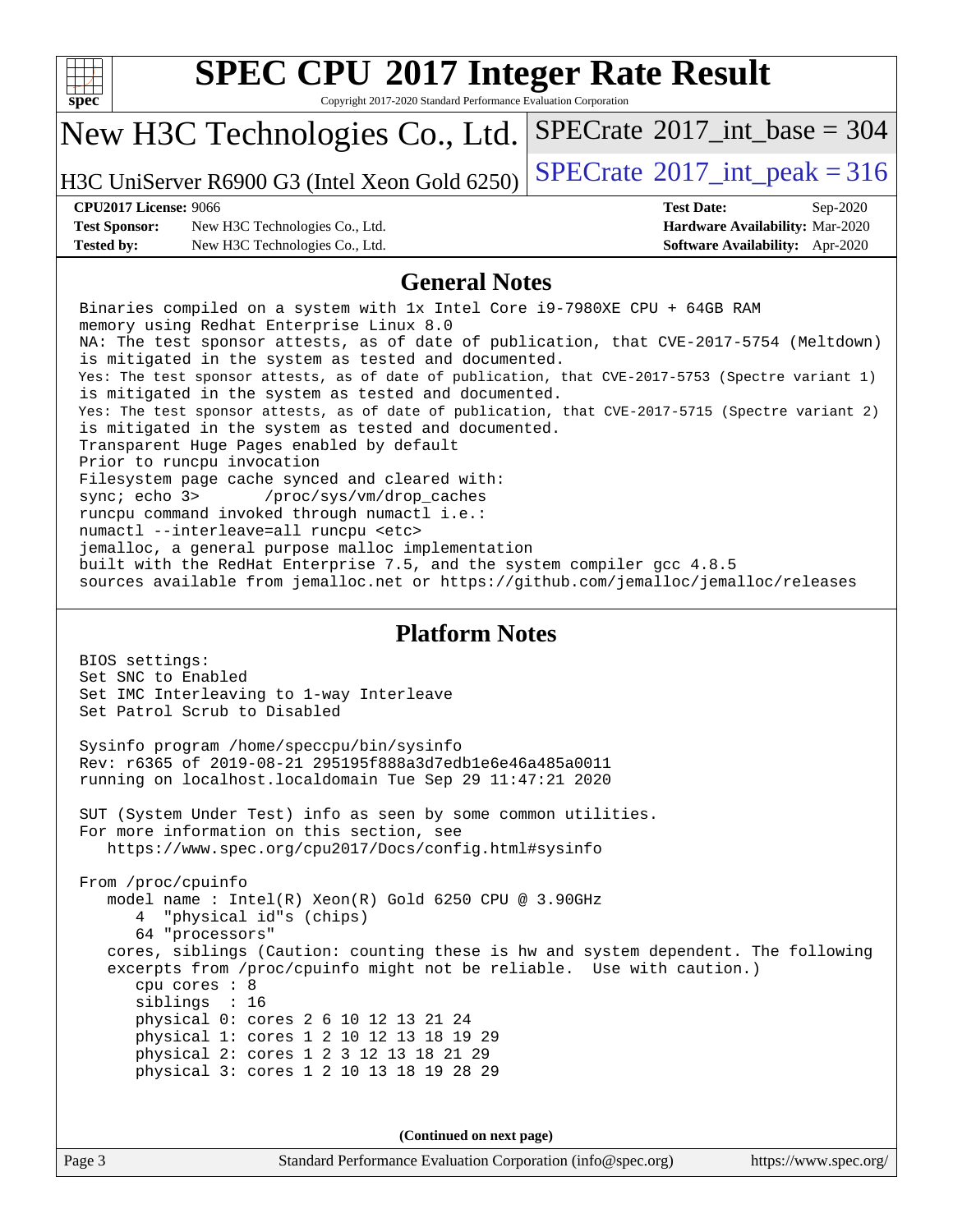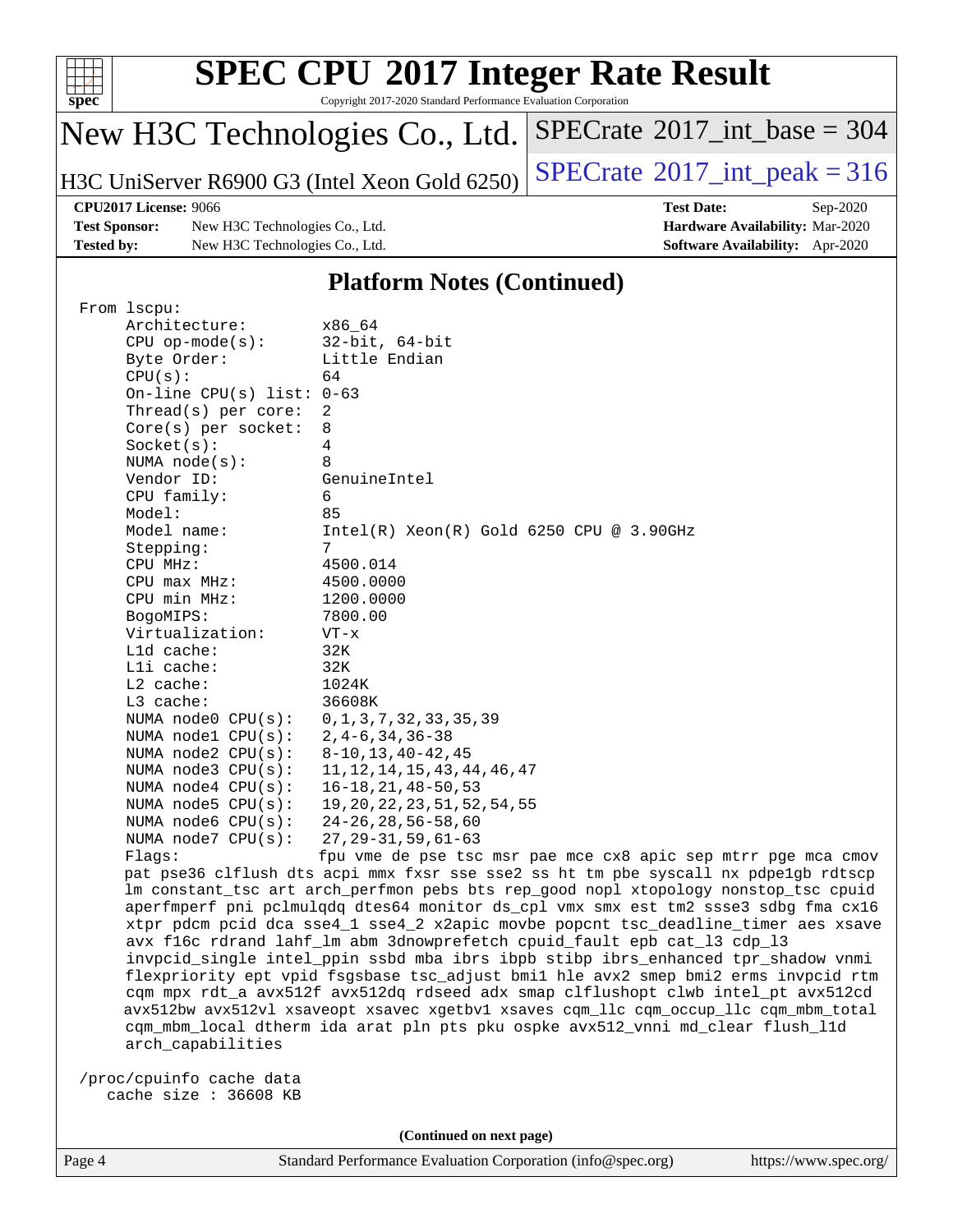

Copyright 2017-2020 Standard Performance Evaluation Corporation

# New H3C Technologies Co., Ltd.

H3C UniServer R6900 G3 (Intel Xeon Gold 6250)  $\left|$  [SPECrate](http://www.spec.org/auto/cpu2017/Docs/result-fields.html#SPECrate2017intpeak)<sup>®</sup>[2017\\_int\\_peak = 3](http://www.spec.org/auto/cpu2017/Docs/result-fields.html#SPECrate2017intpeak)16

 $SPECrate$ <sup>®</sup>[2017\\_int\\_base =](http://www.spec.org/auto/cpu2017/Docs/result-fields.html#SPECrate2017intbase) 304

**[Test Sponsor:](http://www.spec.org/auto/cpu2017/Docs/result-fields.html#TestSponsor)** New H3C Technologies Co., Ltd. **[Hardware Availability:](http://www.spec.org/auto/cpu2017/Docs/result-fields.html#HardwareAvailability)** Mar-2020 **[Tested by:](http://www.spec.org/auto/cpu2017/Docs/result-fields.html#Testedby)** New H3C Technologies Co., Ltd. **[Software Availability:](http://www.spec.org/auto/cpu2017/Docs/result-fields.html#SoftwareAvailability)** Apr-2020

**[CPU2017 License:](http://www.spec.org/auto/cpu2017/Docs/result-fields.html#CPU2017License)** 9066 **[Test Date:](http://www.spec.org/auto/cpu2017/Docs/result-fields.html#TestDate)** Sep-2020

#### **[Platform Notes \(Continued\)](http://www.spec.org/auto/cpu2017/Docs/result-fields.html#PlatformNotes)**

| From 1scpu:                                                                                                                                                            |                                                                                      |  |  |  |  |
|------------------------------------------------------------------------------------------------------------------------------------------------------------------------|--------------------------------------------------------------------------------------|--|--|--|--|
| Architecture:                                                                                                                                                          | x86 64                                                                               |  |  |  |  |
| $CPU$ op-mode( $s$ ):                                                                                                                                                  | $32$ -bit, $64$ -bit                                                                 |  |  |  |  |
| Byte Order:                                                                                                                                                            | Little Endian                                                                        |  |  |  |  |
| CPU(s):                                                                                                                                                                | 64                                                                                   |  |  |  |  |
| On-line CPU(s) list: $0-63$                                                                                                                                            |                                                                                      |  |  |  |  |
| Thread(s) per core:                                                                                                                                                    | 2                                                                                    |  |  |  |  |
| $Core(s)$ per socket:                                                                                                                                                  | 8                                                                                    |  |  |  |  |
| Socket(s):                                                                                                                                                             | $\overline{4}$                                                                       |  |  |  |  |
| NUMA $node(s)$ :                                                                                                                                                       | 8                                                                                    |  |  |  |  |
| Vendor ID:                                                                                                                                                             | GenuineIntel                                                                         |  |  |  |  |
| CPU family:                                                                                                                                                            | 6                                                                                    |  |  |  |  |
| Model:                                                                                                                                                                 | 85                                                                                   |  |  |  |  |
| Model name:                                                                                                                                                            | $Intel(R)$ Xeon $(R)$ Gold 6250 CPU @ 3.90GHz                                        |  |  |  |  |
| Stepping:                                                                                                                                                              | 7                                                                                    |  |  |  |  |
| CPU MHz:                                                                                                                                                               | 4500.014                                                                             |  |  |  |  |
| CPU max MHz:                                                                                                                                                           | 4500.0000                                                                            |  |  |  |  |
| CPU min MHz:                                                                                                                                                           | 1200.0000                                                                            |  |  |  |  |
| BogoMIPS:                                                                                                                                                              | 7800.00                                                                              |  |  |  |  |
| Virtualization:                                                                                                                                                        | $VT - x$                                                                             |  |  |  |  |
| Lld cache:                                                                                                                                                             | 32K                                                                                  |  |  |  |  |
| Lli cache:                                                                                                                                                             | 32K                                                                                  |  |  |  |  |
| $L2$ cache:                                                                                                                                                            | 1024K                                                                                |  |  |  |  |
| L3 cache:                                                                                                                                                              | 36608K                                                                               |  |  |  |  |
| NUMA $node0$ $CPU(s)$ :                                                                                                                                                | 0, 1, 3, 7, 32, 33, 35, 39                                                           |  |  |  |  |
| NUMA $node1$ $CPU(s)$ :                                                                                                                                                | $2, 4 - 6, 34, 36 - 38$                                                              |  |  |  |  |
| NUMA $node2$ $CPU(s):$                                                                                                                                                 | $8 - 10, 13, 40 - 42, 45$                                                            |  |  |  |  |
| NUMA node3 CPU(s):                                                                                                                                                     | 11, 12, 14, 15, 43, 44, 46, 47                                                       |  |  |  |  |
| NUMA $node4$ $CPU(s):$                                                                                                                                                 | $16 - 18, 21, 48 - 50, 53$                                                           |  |  |  |  |
| NUMA node5 CPU(s):                                                                                                                                                     | 19, 20, 22, 23, 51, 52, 54, 55                                                       |  |  |  |  |
| NUMA node6 $CPU(s):$                                                                                                                                                   | $24 - 26, 28, 56 - 58, 60$                                                           |  |  |  |  |
| NUMA $node7$ CPU $(s)$ :                                                                                                                                               | $27, 29 - 31, 59, 61 - 63$                                                           |  |  |  |  |
| Flaqs:                                                                                                                                                                 | fpu vme de pse tsc msr pae mce cx8 apic sep mtrr pqe mca cmov                        |  |  |  |  |
|                                                                                                                                                                        | pat pse36 clflush dts acpi mmx fxsr sse sse2 ss ht tm pbe syscall nx pdpelgb rdtscp  |  |  |  |  |
|                                                                                                                                                                        | lm constant_tsc art arch_perfmon pebs bts rep_good nopl xtopology nonstop_tsc cpuid  |  |  |  |  |
|                                                                                                                                                                        | aperfmperf pni pclmulqdq dtes64 monitor ds_cpl vmx smx est tm2 ssse3 sdbg fma cx16   |  |  |  |  |
|                                                                                                                                                                        | xtpr pdcm pcid dca sse4_1 sse4_2 x2apic movbe popcnt tsc_deadline_timer aes xsave    |  |  |  |  |
|                                                                                                                                                                        | avx f16c rdrand lahf_lm abm 3dnowprefetch cpuid_fault epb cat_13 cdp_13              |  |  |  |  |
| invpcid_single intel_ppin ssbd mba ibrs ibpb stibp ibrs_enhanced tpr_shadow vnmi<br>flexpriority ept vpid fsgsbase tsc_adjust bmil hle avx2 smep bmi2 erms invpcid rtm |                                                                                      |  |  |  |  |
|                                                                                                                                                                        |                                                                                      |  |  |  |  |
|                                                                                                                                                                        | cqm mpx rdt_a avx512f avx512dq rdseed adx smap clflushopt clwb intel_pt avx512cd     |  |  |  |  |
|                                                                                                                                                                        | avx512bw avx512vl xsaveopt xsavec xgetbvl xsaves cqm_llc cqm_occup_llc cqm_mbm_total |  |  |  |  |
|                                                                                                                                                                        | cqm_mbm_local dtherm ida arat pln pts pku ospke avx512_vnni md_clear flush_l1d       |  |  |  |  |
| arch_capabilities                                                                                                                                                      |                                                                                      |  |  |  |  |
| /proc/cpuinfo cache data                                                                                                                                               |                                                                                      |  |  |  |  |
| cache size : $36608$ KB                                                                                                                                                |                                                                                      |  |  |  |  |

**(Continued on next page)**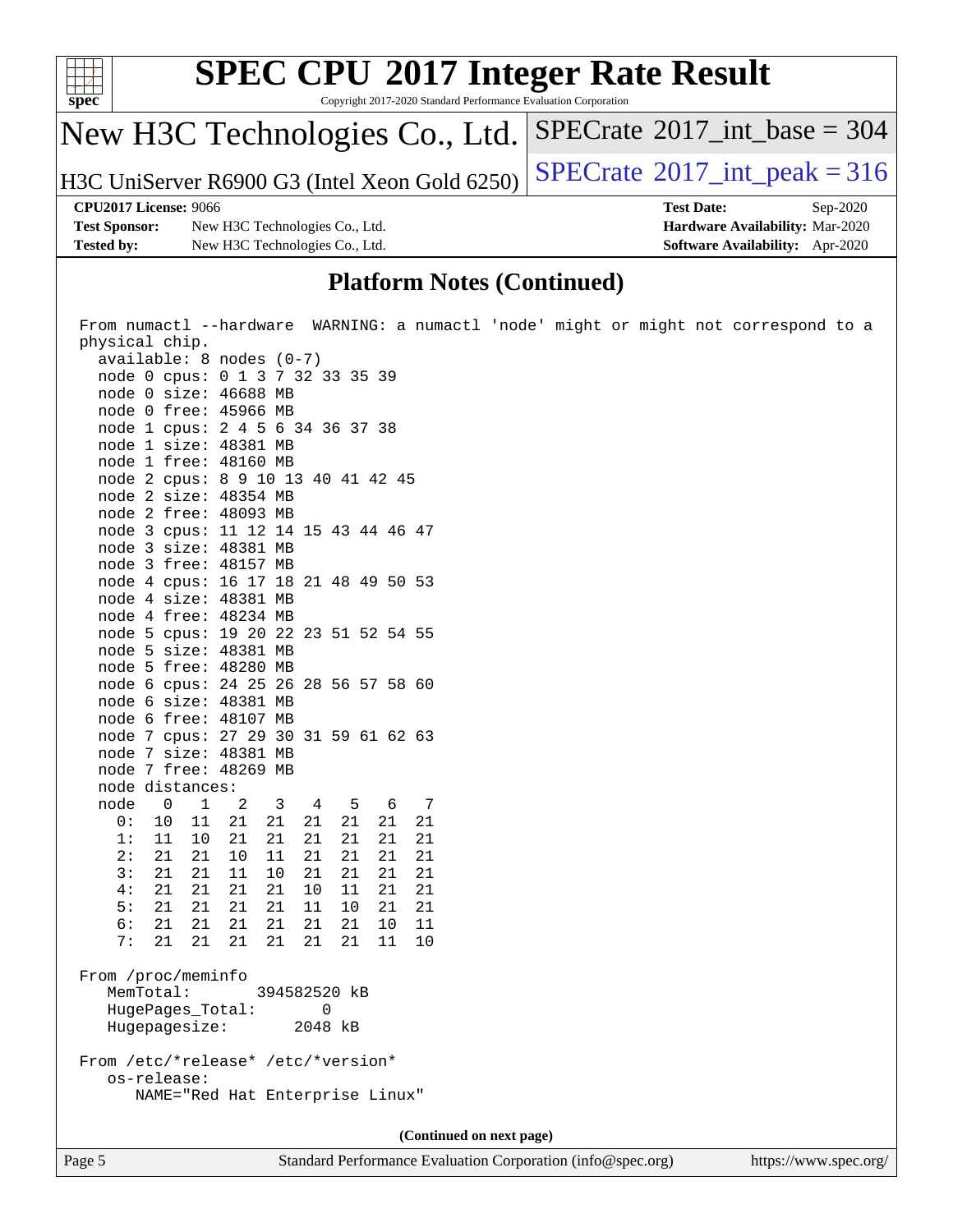

### **[Platform Notes \(Continued\)](http://www.spec.org/auto/cpu2017/Docs/result-fields.html#PlatformNotes)**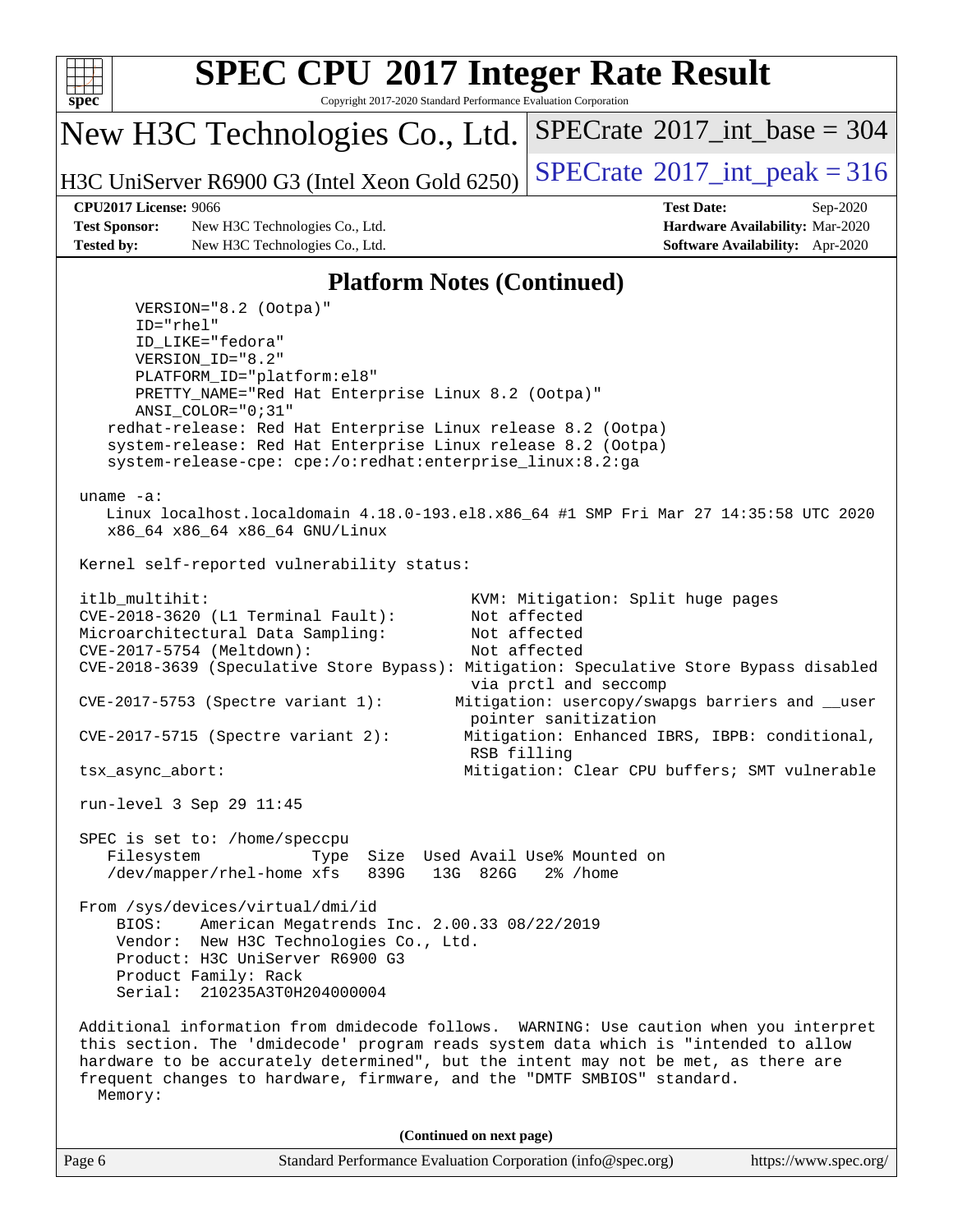

Copyright 2017-2020 Standard Performance Evaluation Corporation

New H3C Technologies Co., Ltd.

H3C UniServer R6900 G3 (Intel Xeon Gold 6250)  $\left|$  [SPECrate](http://www.spec.org/auto/cpu2017/Docs/result-fields.html#SPECrate2017intpeak)<sup>®</sup>[2017\\_int\\_peak = 3](http://www.spec.org/auto/cpu2017/Docs/result-fields.html#SPECrate2017intpeak)16

 $SPECTate$ <sup>®</sup>[2017\\_int\\_base =](http://www.spec.org/auto/cpu2017/Docs/result-fields.html#SPECrate2017intbase) 304

**[Test Sponsor:](http://www.spec.org/auto/cpu2017/Docs/result-fields.html#TestSponsor)** New H3C Technologies Co., Ltd. **[Hardware Availability:](http://www.spec.org/auto/cpu2017/Docs/result-fields.html#HardwareAvailability)** Mar-2020 **[Tested by:](http://www.spec.org/auto/cpu2017/Docs/result-fields.html#Testedby)** New H3C Technologies Co., Ltd. **[Software Availability:](http://www.spec.org/auto/cpu2017/Docs/result-fields.html#SoftwareAvailability)** Apr-2020

**[CPU2017 License:](http://www.spec.org/auto/cpu2017/Docs/result-fields.html#CPU2017License)** 9066 **[Test Date:](http://www.spec.org/auto/cpu2017/Docs/result-fields.html#TestDate)** Sep-2020

#### **[Platform Notes \(Continued\)](http://www.spec.org/auto/cpu2017/Docs/result-fields.html#PlatformNotes)**

Page 6 Standard Performance Evaluation Corporation [\(info@spec.org\)](mailto:info@spec.org) <https://www.spec.org/> VERSION="8.2 (Ootpa)" ID="rhel" ID\_LIKE="fedora" VERSION\_ID="8.2" PLATFORM\_ID="platform:el8" PRETTY\_NAME="Red Hat Enterprise Linux 8.2 (Ootpa)" ANSI\_COLOR="0;31" redhat-release: Red Hat Enterprise Linux release 8.2 (Ootpa) system-release: Red Hat Enterprise Linux release 8.2 (Ootpa) system-release-cpe: cpe:/o:redhat:enterprise\_linux:8.2:ga uname -a: Linux localhost.localdomain 4.18.0-193.el8.x86\_64 #1 SMP Fri Mar 27 14:35:58 UTC 2020 x86\_64 x86\_64 x86\_64 GNU/Linux Kernel self-reported vulnerability status: itlb\_multihit: KVM: Mitigation: Split huge pages CVE-2018-3620 (L1 Terminal Fault): Not affected Microarchitectural Data Sampling: Not affected CVE-2017-5754 (Meltdown): Not affected CVE-2018-3639 (Speculative Store Bypass): Mitigation: Speculative Store Bypass disabled via prctl and seccomp CVE-2017-5753 (Spectre variant 1): Mitigation: usercopy/swapgs barriers and \_\_user pointer sanitization CVE-2017-5715 (Spectre variant 2): Mitigation: Enhanced IBRS, IBPB: conditional, RSB filling tsx\_async\_abort: Mitigation: Clear CPU buffers; SMT vulnerable run-level 3 Sep 29 11:45 SPEC is set to: /home/speccpu Filesystem Type Size Used Avail Use% Mounted on /dev/mapper/rhel-home xfs 839G 13G 826G 2% /home From /sys/devices/virtual/dmi/id BIOS: American Megatrends Inc. 2.00.33 08/22/2019 Vendor: New H3C Technologies Co., Ltd. Product: H3C UniServer R6900 G3 Product Family: Rack Serial: 210235A3T0H204000004 Additional information from dmidecode follows. WARNING: Use caution when you interpret this section. The 'dmidecode' program reads system data which is "intended to allow hardware to be accurately determined", but the intent may not be met, as there are frequent changes to hardware, firmware, and the "DMTF SMBIOS" standard. Memory: **(Continued on next page)**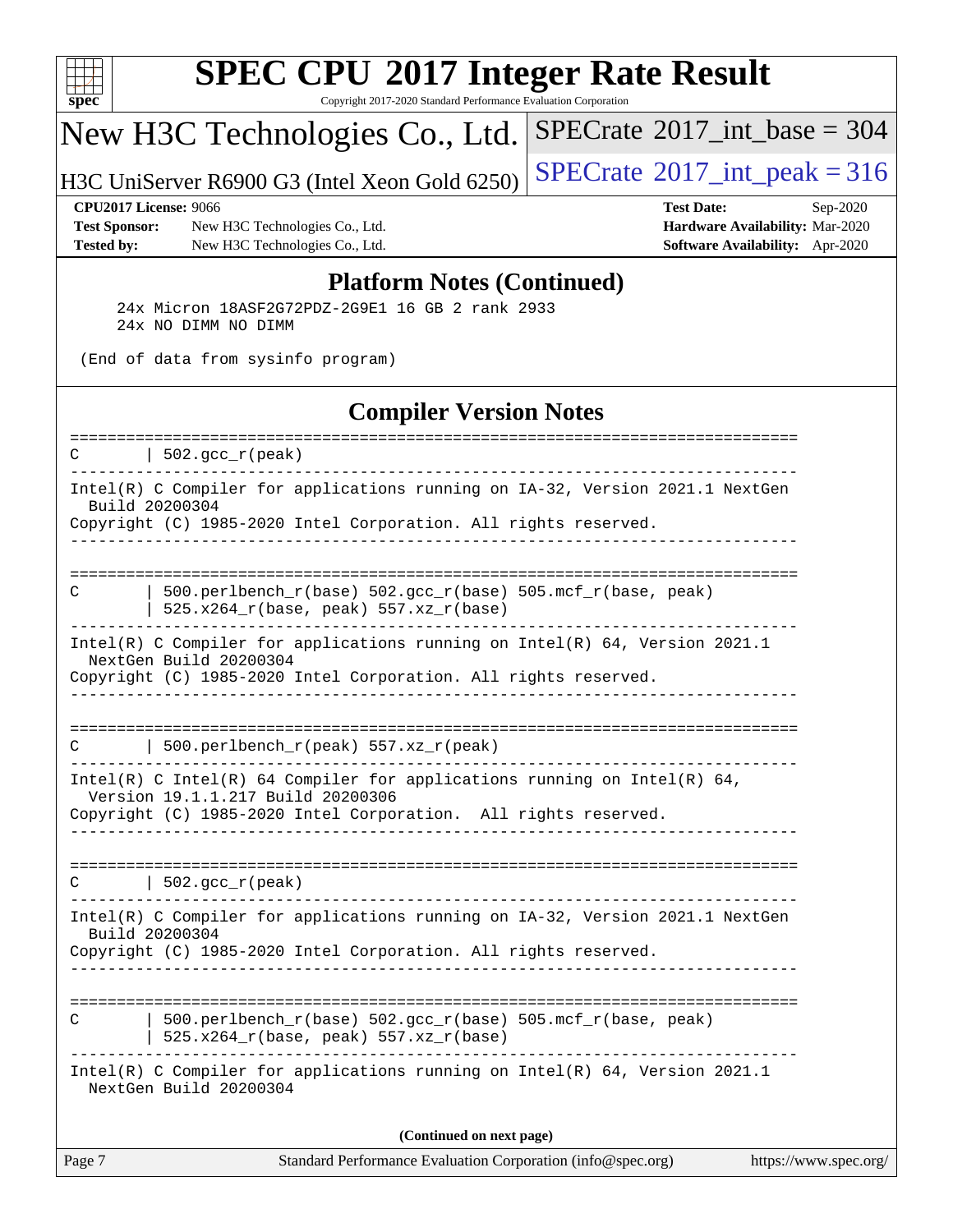

Copyright 2017-2020 Standard Performance Evaluation Corporation

# New H3C Technologies Co., Ltd.

H3C UniServer R6900 G3 (Intel Xeon Gold 6250) [SPECrate](http://www.spec.org/auto/cpu2017/Docs/result-fields.html#SPECrate2017intpeak)<sup>®</sup>[2017\\_int\\_peak = 3](http://www.spec.org/auto/cpu2017/Docs/result-fields.html#SPECrate2017intpeak)16

 $SPECrate$ <sup>®</sup>[2017\\_int\\_base =](http://www.spec.org/auto/cpu2017/Docs/result-fields.html#SPECrate2017intbase) 304

**[Test Sponsor:](http://www.spec.org/auto/cpu2017/Docs/result-fields.html#TestSponsor)** New H3C Technologies Co., Ltd. **[Hardware Availability:](http://www.spec.org/auto/cpu2017/Docs/result-fields.html#HardwareAvailability)** Mar-2020 **[Tested by:](http://www.spec.org/auto/cpu2017/Docs/result-fields.html#Testedby)** New H3C Technologies Co., Ltd. **[Software Availability:](http://www.spec.org/auto/cpu2017/Docs/result-fields.html#SoftwareAvailability)** Apr-2020

**[CPU2017 License:](http://www.spec.org/auto/cpu2017/Docs/result-fields.html#CPU2017License)** 9066 **[Test Date:](http://www.spec.org/auto/cpu2017/Docs/result-fields.html#TestDate)** Sep-2020

#### **[Platform Notes \(Continued\)](http://www.spec.org/auto/cpu2017/Docs/result-fields.html#PlatformNotes)**

 24x Micron 18ASF2G72PDZ-2G9E1 16 GB 2 rank 2933 24x NO DIMM NO DIMM

(End of data from sysinfo program)

#### **[Compiler Version Notes](http://www.spec.org/auto/cpu2017/Docs/result-fields.html#CompilerVersionNotes)**

| Intel(R) C Compiler for applications running on IA-32, Version 2021.1 NextGen<br>Build 20200304<br>Copyright (C) 1985-2020 Intel Corporation. All rights reserved.<br>---------------------------<br>500.perlbench_r(base) 502.gcc_r(base) 505.mcf_r(base, peak)<br>C<br>525.x264_r(base, peak) 557.xz_r(base)<br>Intel(R) C Compiler for applications running on $Intel(R) 64$ , Version 2021.1<br>NextGen Build 20200304<br>Copyright (C) 1985-2020 Intel Corporation. All rights reserved.<br>500.perlbench_r(peak) 557.xz_r(peak)<br>C<br>Intel(R) C Intel(R) 64 Compiler for applications running on Intel(R) 64,<br>Version 19.1.1.217 Build 20200306<br>Copyright (C) 1985-2020 Intel Corporation. All rights reserved.<br>$ 502.\mathrm{gcc\_r}(\mathrm{peak}) $<br>$\mathcal{C}$<br>Intel(R) C Compiler for applications running on IA-32, Version 2021.1 NextGen<br>Build 20200304<br>Copyright (C) 1985-2020 Intel Corporation. All rights reserved.<br>------------------------<br>$500. perlbench_r(base) 502. gcc_r(base) 505.mcf_r(base, peak)$<br>C<br>525.x264_r(base, peak) 557.xz_r(base)<br>Intel(R) C Compiler for applications running on Intel(R) 64, Version 2021.1<br>NextGen Build 20200304<br>(Continued on next page) | Page 7 | Standard Performance Evaluation Corporation (info@spec.org)<br>https://www.spec.org/ |
|---------------------------------------------------------------------------------------------------------------------------------------------------------------------------------------------------------------------------------------------------------------------------------------------------------------------------------------------------------------------------------------------------------------------------------------------------------------------------------------------------------------------------------------------------------------------------------------------------------------------------------------------------------------------------------------------------------------------------------------------------------------------------------------------------------------------------------------------------------------------------------------------------------------------------------------------------------------------------------------------------------------------------------------------------------------------------------------------------------------------------------------------------------------------------------------------------------------------------------------------------|--------|--------------------------------------------------------------------------------------|
|                                                                                                                                                                                                                                                                                                                                                                                                                                                                                                                                                                                                                                                                                                                                                                                                                                                                                                                                                                                                                                                                                                                                                                                                                                                   |        |                                                                                      |
|                                                                                                                                                                                                                                                                                                                                                                                                                                                                                                                                                                                                                                                                                                                                                                                                                                                                                                                                                                                                                                                                                                                                                                                                                                                   |        |                                                                                      |
|                                                                                                                                                                                                                                                                                                                                                                                                                                                                                                                                                                                                                                                                                                                                                                                                                                                                                                                                                                                                                                                                                                                                                                                                                                                   |        |                                                                                      |
|                                                                                                                                                                                                                                                                                                                                                                                                                                                                                                                                                                                                                                                                                                                                                                                                                                                                                                                                                                                                                                                                                                                                                                                                                                                   |        |                                                                                      |
|                                                                                                                                                                                                                                                                                                                                                                                                                                                                                                                                                                                                                                                                                                                                                                                                                                                                                                                                                                                                                                                                                                                                                                                                                                                   |        |                                                                                      |
|                                                                                                                                                                                                                                                                                                                                                                                                                                                                                                                                                                                                                                                                                                                                                                                                                                                                                                                                                                                                                                                                                                                                                                                                                                                   |        |                                                                                      |
|                                                                                                                                                                                                                                                                                                                                                                                                                                                                                                                                                                                                                                                                                                                                                                                                                                                                                                                                                                                                                                                                                                                                                                                                                                                   |        |                                                                                      |
|                                                                                                                                                                                                                                                                                                                                                                                                                                                                                                                                                                                                                                                                                                                                                                                                                                                                                                                                                                                                                                                                                                                                                                                                                                                   |        |                                                                                      |
|                                                                                                                                                                                                                                                                                                                                                                                                                                                                                                                                                                                                                                                                                                                                                                                                                                                                                                                                                                                                                                                                                                                                                                                                                                                   |        |                                                                                      |
|                                                                                                                                                                                                                                                                                                                                                                                                                                                                                                                                                                                                                                                                                                                                                                                                                                                                                                                                                                                                                                                                                                                                                                                                                                                   |        |                                                                                      |
| ====================<br>-------------------------------                                                                                                                                                                                                                                                                                                                                                                                                                                                                                                                                                                                                                                                                                                                                                                                                                                                                                                                                                                                                                                                                                                                                                                                           | C      | $\vert$ 502.gcc_r(peak)                                                              |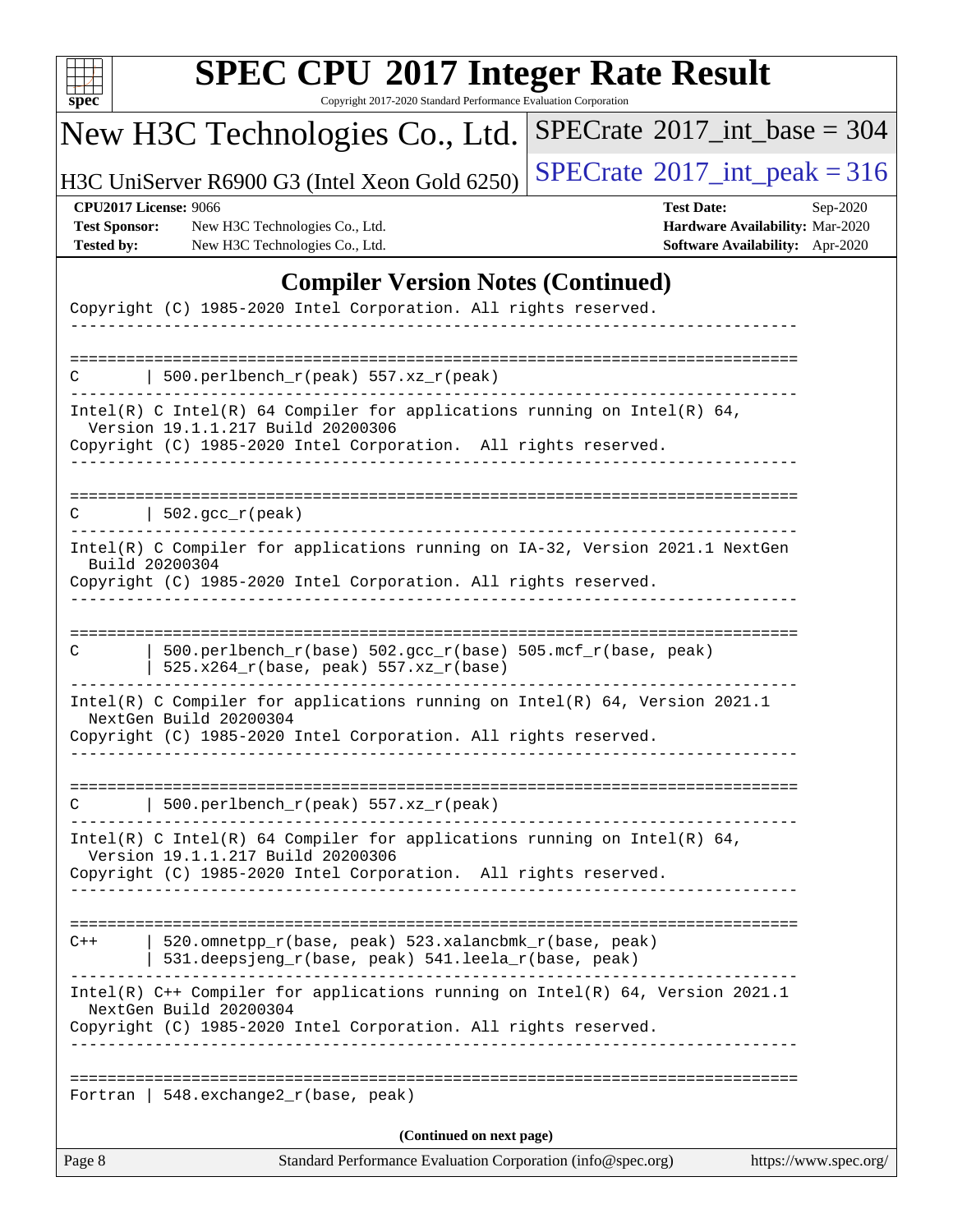| u<br>r |  |  |  |  |  |
|--------|--|--|--|--|--|

Copyright 2017-2020 Standard Performance Evaluation Corporation

# New H3C Technologies Co., Ltd.

H3C UniServer R6900 G3 (Intel Xeon Gold 6250)  $\left|$  [SPECrate](http://www.spec.org/auto/cpu2017/Docs/result-fields.html#SPECrate2017intpeak)<sup>®</sup>[2017\\_int\\_peak = 3](http://www.spec.org/auto/cpu2017/Docs/result-fields.html#SPECrate2017intpeak)16

 $SPECrate$ <sup>®</sup>[2017\\_int\\_base =](http://www.spec.org/auto/cpu2017/Docs/result-fields.html#SPECrate2017intbase) 304

**[Test Sponsor:](http://www.spec.org/auto/cpu2017/Docs/result-fields.html#TestSponsor)** New H3C Technologies Co., Ltd. **[Hardware Availability:](http://www.spec.org/auto/cpu2017/Docs/result-fields.html#HardwareAvailability)** Mar-2020 **[Tested by:](http://www.spec.org/auto/cpu2017/Docs/result-fields.html#Testedby)** New H3C Technologies Co., Ltd. **[Software Availability:](http://www.spec.org/auto/cpu2017/Docs/result-fields.html#SoftwareAvailability)** Apr-2020

**[CPU2017 License:](http://www.spec.org/auto/cpu2017/Docs/result-fields.html#CPU2017License)** 9066 **[Test Date:](http://www.spec.org/auto/cpu2017/Docs/result-fields.html#TestDate)** Sep-2020

### **[Compiler Version Notes \(Continued\)](http://www.spec.org/auto/cpu2017/Docs/result-fields.html#CompilerVersionNotes)**

| Page 8 | Standard Performance Evaluation Corporation (info@spec.org)                                                                                                                                                    | https://www.spec.org/ |
|--------|----------------------------------------------------------------------------------------------------------------------------------------------------------------------------------------------------------------|-----------------------|
|        | (Continued on next page)                                                                                                                                                                                       |                       |
|        | Fortran   548. exchange $2_r$ (base, peak)                                                                                                                                                                     |                       |
|        | Intel(R) C++ Compiler for applications running on Intel(R) 64, Version 2021.1<br>NextGen Build 20200304<br>Copyright (C) 1985-2020 Intel Corporation. All rights reserved.                                     |                       |
| $C++$  | -------------------------------------<br>520.omnetpp_r(base, peak) 523.xalancbmk_r(base, peak)<br>531.deepsjeng_r(base, peak) 541.leela_r(base, peak)                                                          |                       |
|        | Intel(R) C Intel(R) 64 Compiler for applications running on Intel(R) 64,<br>Version 19.1.1.217 Build 20200306<br>Copyright (C) 1985-2020 Intel Corporation. All rights reserved.                               |                       |
|        | 500.perlbench_r(peak) 557.xz_r(peak)                                                                                                                                                                           |                       |
|        | Intel(R) C Compiler for applications running on Intel(R) 64, Version 2021.1<br>NextGen Build 20200304<br>Copyright (C) 1985-2020 Intel Corporation. All rights reserved.                                       |                       |
| C      | 500.perlbench_r(base) 502.gcc_r(base) 505.mcf_r(base, peak)<br>525.x264_r(base, peak) 557.xz_r(base)                                                                                                           |                       |
|        | Intel(R) C Compiler for applications running on IA-32, Version 2021.1 NextGen<br>Build 20200304<br>Copyright (C) 1985-2020 Intel Corporation. All rights reserved.                                             |                       |
| C.     | $\vert$ 502.gcc_r(peak)                                                                                                                                                                                        |                       |
|        | Copyright (C) 1985-2020 Intel Corporation. All rights reserved.                                                                                                                                                |                       |
|        | Intel(R) C Intel(R) 64 Compiler for applications running on Intel(R) 64,<br>Version 19.1.1.217 Build 20200306                                                                                                  |                       |
|        | 500.perlbench_r(peak) 557.xz_r(peak)                                                                                                                                                                           |                       |
|        | $\frac{1}{2}$ $\frac{1}{2}$ $\frac{1}{2}$ $\frac{1}{2}$ $\frac{1}{2}$ $\frac{1}{2}$ $\frac{1}{2}$ $\frac{1}{2}$ $\frac{1}{2}$ $\frac{1}{2}$<br>Copyright (C) 1985-2020 Intel Corporation. All rights reserved. |                       |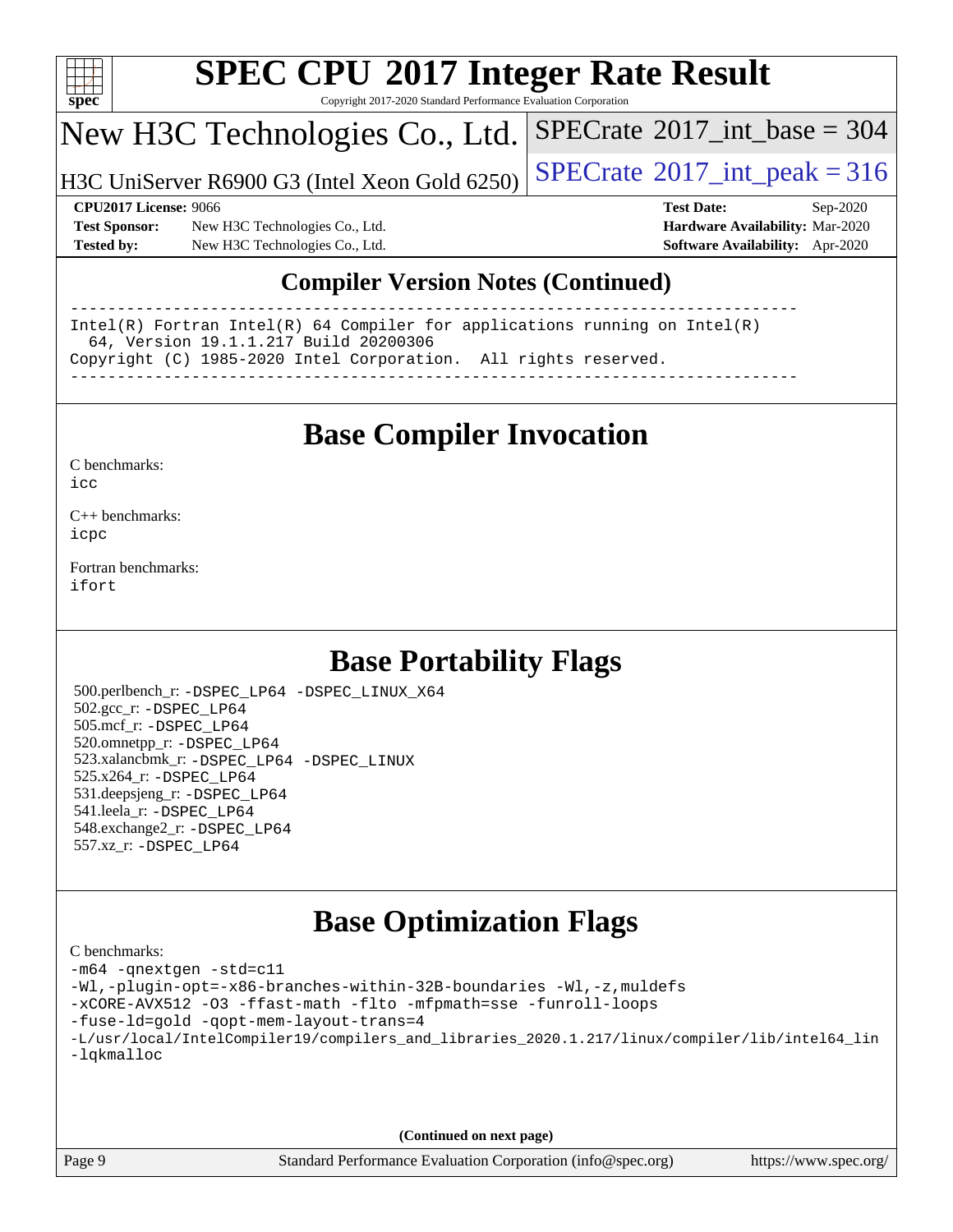

Copyright 2017-2020 Standard Performance Evaluation Corporation

# New H3C Technologies Co., Ltd.

H3C UniServer R6900 G3 (Intel Xeon Gold 6250)  $\left|$  [SPECrate](http://www.spec.org/auto/cpu2017/Docs/result-fields.html#SPECrate2017intpeak)®[2017\\_int\\_peak = 3](http://www.spec.org/auto/cpu2017/Docs/result-fields.html#SPECrate2017intpeak)16

 $SPECTate$ <sup>®</sup>[2017\\_int\\_base =](http://www.spec.org/auto/cpu2017/Docs/result-fields.html#SPECrate2017intbase) 304

**[Test Sponsor:](http://www.spec.org/auto/cpu2017/Docs/result-fields.html#TestSponsor)** New H3C Technologies Co., Ltd. **[Hardware Availability:](http://www.spec.org/auto/cpu2017/Docs/result-fields.html#HardwareAvailability)** Mar-2020 **[Tested by:](http://www.spec.org/auto/cpu2017/Docs/result-fields.html#Testedby)** New H3C Technologies Co., Ltd. **[Software Availability:](http://www.spec.org/auto/cpu2017/Docs/result-fields.html#SoftwareAvailability)** Apr-2020

**[CPU2017 License:](http://www.spec.org/auto/cpu2017/Docs/result-fields.html#CPU2017License)** 9066 **[Test Date:](http://www.spec.org/auto/cpu2017/Docs/result-fields.html#TestDate)** Sep-2020

### **[Compiler Version Notes \(Continued\)](http://www.spec.org/auto/cpu2017/Docs/result-fields.html#CompilerVersionNotes)**

------------------------------------------------------------------------------ Intel(R) Fortran Intel(R) 64 Compiler for applications running on Intel(R) 64, Version 19.1.1.217 Build 20200306 Copyright (C) 1985-2020 Intel Corporation. All rights reserved. ------------------------------------------------------------------------------

## **[Base Compiler Invocation](http://www.spec.org/auto/cpu2017/Docs/result-fields.html#BaseCompilerInvocation)**

[C benchmarks](http://www.spec.org/auto/cpu2017/Docs/result-fields.html#Cbenchmarks):  $i$ cc

[C++ benchmarks:](http://www.spec.org/auto/cpu2017/Docs/result-fields.html#CXXbenchmarks) [icpc](http://www.spec.org/cpu2017/results/res2020q4/cpu2017-20201014-24204.flags.html#user_CXXbase_intel_icpc_c510b6838c7f56d33e37e94d029a35b4a7bccf4766a728ee175e80a419847e808290a9b78be685c44ab727ea267ec2f070ec5dc83b407c0218cded6866a35d07)

[Fortran benchmarks](http://www.spec.org/auto/cpu2017/Docs/result-fields.html#Fortranbenchmarks): [ifort](http://www.spec.org/cpu2017/results/res2020q4/cpu2017-20201014-24204.flags.html#user_FCbase_intel_ifort_8111460550e3ca792625aed983ce982f94888b8b503583aa7ba2b8303487b4d8a21a13e7191a45c5fd58ff318f48f9492884d4413fa793fd88dd292cad7027ca)

## **[Base Portability Flags](http://www.spec.org/auto/cpu2017/Docs/result-fields.html#BasePortabilityFlags)**

 500.perlbench\_r: [-DSPEC\\_LP64](http://www.spec.org/cpu2017/results/res2020q4/cpu2017-20201014-24204.flags.html#b500.perlbench_r_basePORTABILITY_DSPEC_LP64) [-DSPEC\\_LINUX\\_X64](http://www.spec.org/cpu2017/results/res2020q4/cpu2017-20201014-24204.flags.html#b500.perlbench_r_baseCPORTABILITY_DSPEC_LINUX_X64) 502.gcc\_r: [-DSPEC\\_LP64](http://www.spec.org/cpu2017/results/res2020q4/cpu2017-20201014-24204.flags.html#suite_basePORTABILITY502_gcc_r_DSPEC_LP64) 505.mcf\_r: [-DSPEC\\_LP64](http://www.spec.org/cpu2017/results/res2020q4/cpu2017-20201014-24204.flags.html#suite_basePORTABILITY505_mcf_r_DSPEC_LP64) 520.omnetpp\_r: [-DSPEC\\_LP64](http://www.spec.org/cpu2017/results/res2020q4/cpu2017-20201014-24204.flags.html#suite_basePORTABILITY520_omnetpp_r_DSPEC_LP64) 523.xalancbmk\_r: [-DSPEC\\_LP64](http://www.spec.org/cpu2017/results/res2020q4/cpu2017-20201014-24204.flags.html#suite_basePORTABILITY523_xalancbmk_r_DSPEC_LP64) [-DSPEC\\_LINUX](http://www.spec.org/cpu2017/results/res2020q4/cpu2017-20201014-24204.flags.html#b523.xalancbmk_r_baseCXXPORTABILITY_DSPEC_LINUX) 525.x264\_r: [-DSPEC\\_LP64](http://www.spec.org/cpu2017/results/res2020q4/cpu2017-20201014-24204.flags.html#suite_basePORTABILITY525_x264_r_DSPEC_LP64) 531.deepsjeng\_r: [-DSPEC\\_LP64](http://www.spec.org/cpu2017/results/res2020q4/cpu2017-20201014-24204.flags.html#suite_basePORTABILITY531_deepsjeng_r_DSPEC_LP64) 541.leela\_r: [-DSPEC\\_LP64](http://www.spec.org/cpu2017/results/res2020q4/cpu2017-20201014-24204.flags.html#suite_basePORTABILITY541_leela_r_DSPEC_LP64) 548.exchange2\_r: [-DSPEC\\_LP64](http://www.spec.org/cpu2017/results/res2020q4/cpu2017-20201014-24204.flags.html#suite_basePORTABILITY548_exchange2_r_DSPEC_LP64) 557.xz\_r: [-DSPEC\\_LP64](http://www.spec.org/cpu2017/results/res2020q4/cpu2017-20201014-24204.flags.html#suite_basePORTABILITY557_xz_r_DSPEC_LP64)

## **[Base Optimization Flags](http://www.spec.org/auto/cpu2017/Docs/result-fields.html#BaseOptimizationFlags)**

| C benchmarks:                                                                                  |
|------------------------------------------------------------------------------------------------|
| -m64 -qnextgen -std=c11                                                                        |
| -Wl,-plugin-opt=-x86-branches-within-32B-boundaries -Wl,-z, muldefs                            |
| -xCORE-AVX512 -03 -ffast-math -flto -mfpmath=sse -funroll-loops                                |
| -fuse-1d=gold -gopt-mem-layout-trans=4                                                         |
| -L/usr/local/IntelCompiler19/compilers_and_libraries_2020.1.217/linux/compiler/lib/intel64_lin |
| -lqkmalloc                                                                                     |
|                                                                                                |
|                                                                                                |
|                                                                                                |

**(Continued on next page)**

Page 9 Standard Performance Evaluation Corporation [\(info@spec.org\)](mailto:info@spec.org) <https://www.spec.org/>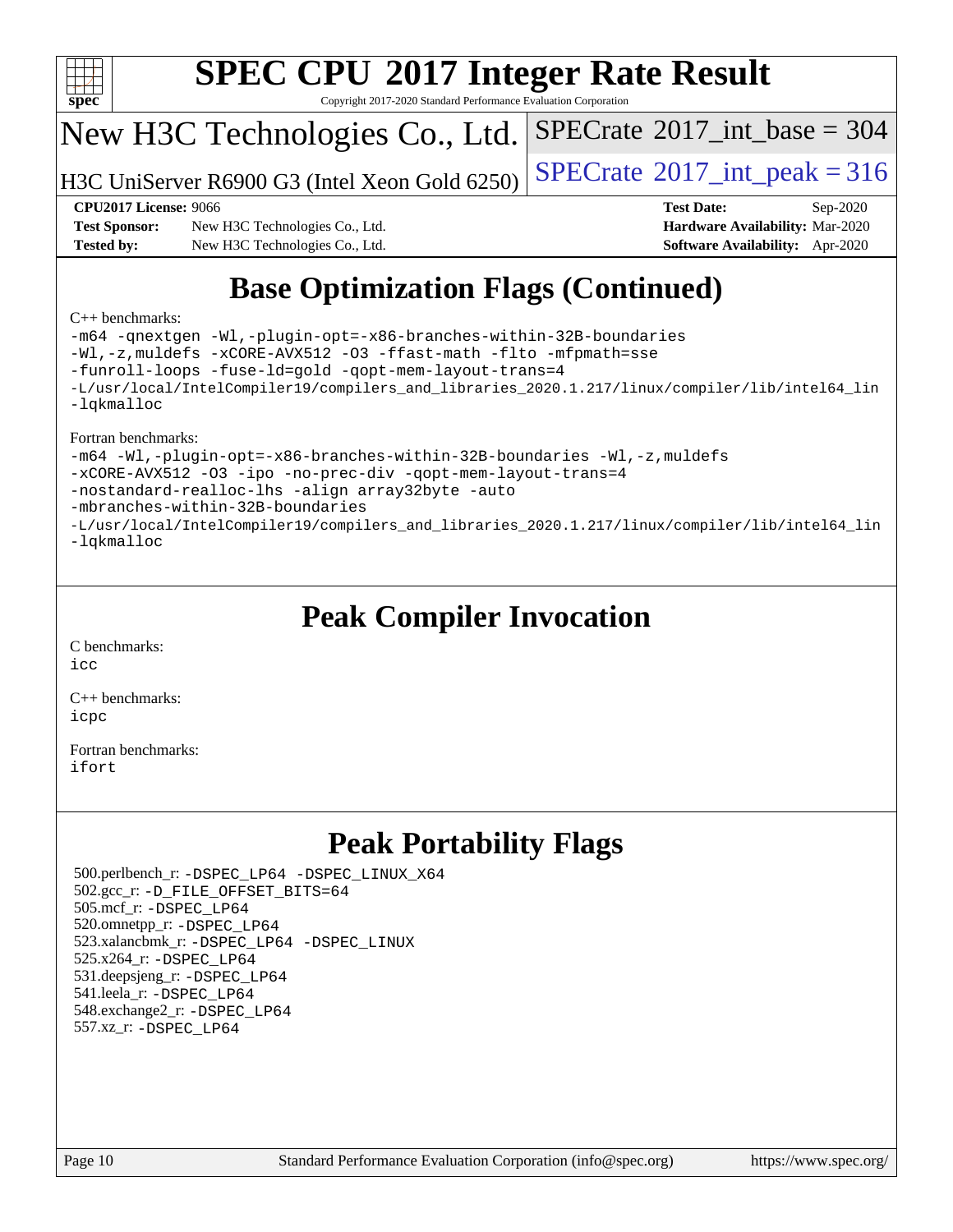

Copyright 2017-2020 Standard Performance Evaluation Corporation

## New H3C Technologies Co., Ltd.

H3C UniServer R6900 G3 (Intel Xeon Gold 6250)  $\vert$  [SPECrate](http://www.spec.org/auto/cpu2017/Docs/result-fields.html#SPECrate2017intpeak)®[2017\\_int\\_peak = 3](http://www.spec.org/auto/cpu2017/Docs/result-fields.html#SPECrate2017intpeak)16

 $SPECTate$ <sup>®</sup>[2017\\_int\\_base =](http://www.spec.org/auto/cpu2017/Docs/result-fields.html#SPECrate2017intbase) 304

**[Test Sponsor:](http://www.spec.org/auto/cpu2017/Docs/result-fields.html#TestSponsor)** New H3C Technologies Co., Ltd. **[Hardware Availability:](http://www.spec.org/auto/cpu2017/Docs/result-fields.html#HardwareAvailability)** Mar-2020 **[Tested by:](http://www.spec.org/auto/cpu2017/Docs/result-fields.html#Testedby)** New H3C Technologies Co., Ltd. **[Software Availability:](http://www.spec.org/auto/cpu2017/Docs/result-fields.html#SoftwareAvailability)** Apr-2020

**[CPU2017 License:](http://www.spec.org/auto/cpu2017/Docs/result-fields.html#CPU2017License)** 9066 **[Test Date:](http://www.spec.org/auto/cpu2017/Docs/result-fields.html#TestDate)** Sep-2020

# **[Base Optimization Flags \(Continued\)](http://www.spec.org/auto/cpu2017/Docs/result-fields.html#BaseOptimizationFlags)**

#### [C++ benchmarks:](http://www.spec.org/auto/cpu2017/Docs/result-fields.html#CXXbenchmarks)

[-m64](http://www.spec.org/cpu2017/results/res2020q4/cpu2017-20201014-24204.flags.html#user_CXXbase_m64-icc) [-qnextgen](http://www.spec.org/cpu2017/results/res2020q4/cpu2017-20201014-24204.flags.html#user_CXXbase_f-qnextgen) [-Wl,-plugin-opt=-x86-branches-within-32B-boundaries](http://www.spec.org/cpu2017/results/res2020q4/cpu2017-20201014-24204.flags.html#user_CXXbase_f-x86-branches-within-32B-boundaries_0098b4e4317ae60947b7b728078a624952a08ac37a3c797dfb4ffeb399e0c61a9dd0f2f44ce917e9361fb9076ccb15e7824594512dd315205382d84209e912f3) [-Wl,-z,muldefs](http://www.spec.org/cpu2017/results/res2020q4/cpu2017-20201014-24204.flags.html#user_CXXbase_link_force_multiple1_b4cbdb97b34bdee9ceefcfe54f4c8ea74255f0b02a4b23e853cdb0e18eb4525ac79b5a88067c842dd0ee6996c24547a27a4b99331201badda8798ef8a743f577) [-xCORE-AVX512](http://www.spec.org/cpu2017/results/res2020q4/cpu2017-20201014-24204.flags.html#user_CXXbase_f-xCORE-AVX512) [-O3](http://www.spec.org/cpu2017/results/res2020q4/cpu2017-20201014-24204.flags.html#user_CXXbase_f-O3) [-ffast-math](http://www.spec.org/cpu2017/results/res2020q4/cpu2017-20201014-24204.flags.html#user_CXXbase_f-ffast-math) [-flto](http://www.spec.org/cpu2017/results/res2020q4/cpu2017-20201014-24204.flags.html#user_CXXbase_f-flto) [-mfpmath=sse](http://www.spec.org/cpu2017/results/res2020q4/cpu2017-20201014-24204.flags.html#user_CXXbase_f-mfpmath_70eb8fac26bde974f8ab713bc9086c5621c0b8d2f6c86f38af0bd7062540daf19db5f3a066d8c6684be05d84c9b6322eb3b5be6619d967835195b93d6c02afa1) [-funroll-loops](http://www.spec.org/cpu2017/results/res2020q4/cpu2017-20201014-24204.flags.html#user_CXXbase_f-funroll-loops) [-fuse-ld=gold](http://www.spec.org/cpu2017/results/res2020q4/cpu2017-20201014-24204.flags.html#user_CXXbase_f-fuse-ld_920b3586e2b8c6e0748b9c84fa9b744736ba725a32cab14ad8f3d4ad28eecb2f59d1144823d2e17006539a88734fe1fc08fc3035f7676166309105a78aaabc32) [-qopt-mem-layout-trans=4](http://www.spec.org/cpu2017/results/res2020q4/cpu2017-20201014-24204.flags.html#user_CXXbase_f-qopt-mem-layout-trans_fa39e755916c150a61361b7846f310bcdf6f04e385ef281cadf3647acec3f0ae266d1a1d22d972a7087a248fd4e6ca390a3634700869573d231a252c784941a8) [-L/usr/local/IntelCompiler19/compilers\\_and\\_libraries\\_2020.1.217/linux/compiler/lib/intel64\\_lin](http://www.spec.org/cpu2017/results/res2020q4/cpu2017-20201014-24204.flags.html#user_CXXbase_linkpath_2cb6f503891ebf8baee7515f4e7d4ec1217444d1d05903cc0091ac4158de400651d2b2313a9fa414cb8a8f0e16ab029634f5c6db340f400369c190d4db8a54a0) [-lqkmalloc](http://www.spec.org/cpu2017/results/res2020q4/cpu2017-20201014-24204.flags.html#user_CXXbase_qkmalloc_link_lib_79a818439969f771c6bc311cfd333c00fc099dad35c030f5aab9dda831713d2015205805422f83de8875488a2991c0a156aaa600e1f9138f8fc37004abc96dc5)

#### [Fortran benchmarks:](http://www.spec.org/auto/cpu2017/Docs/result-fields.html#Fortranbenchmarks)

[-m64](http://www.spec.org/cpu2017/results/res2020q4/cpu2017-20201014-24204.flags.html#user_FCbase_m64-icc) [-Wl,-plugin-opt=-x86-branches-within-32B-boundaries](http://www.spec.org/cpu2017/results/res2020q4/cpu2017-20201014-24204.flags.html#user_FCbase_f-x86-branches-within-32B-boundaries_0098b4e4317ae60947b7b728078a624952a08ac37a3c797dfb4ffeb399e0c61a9dd0f2f44ce917e9361fb9076ccb15e7824594512dd315205382d84209e912f3) [-Wl,-z,muldefs](http://www.spec.org/cpu2017/results/res2020q4/cpu2017-20201014-24204.flags.html#user_FCbase_link_force_multiple1_b4cbdb97b34bdee9ceefcfe54f4c8ea74255f0b02a4b23e853cdb0e18eb4525ac79b5a88067c842dd0ee6996c24547a27a4b99331201badda8798ef8a743f577) [-xCORE-AVX512](http://www.spec.org/cpu2017/results/res2020q4/cpu2017-20201014-24204.flags.html#user_FCbase_f-xCORE-AVX512) [-O3](http://www.spec.org/cpu2017/results/res2020q4/cpu2017-20201014-24204.flags.html#user_FCbase_f-O3) [-ipo](http://www.spec.org/cpu2017/results/res2020q4/cpu2017-20201014-24204.flags.html#user_FCbase_f-ipo) [-no-prec-div](http://www.spec.org/cpu2017/results/res2020q4/cpu2017-20201014-24204.flags.html#user_FCbase_f-no-prec-div) [-qopt-mem-layout-trans=4](http://www.spec.org/cpu2017/results/res2020q4/cpu2017-20201014-24204.flags.html#user_FCbase_f-qopt-mem-layout-trans_fa39e755916c150a61361b7846f310bcdf6f04e385ef281cadf3647acec3f0ae266d1a1d22d972a7087a248fd4e6ca390a3634700869573d231a252c784941a8) [-nostandard-realloc-lhs](http://www.spec.org/cpu2017/results/res2020q4/cpu2017-20201014-24204.flags.html#user_FCbase_f_2003_std_realloc_82b4557e90729c0f113870c07e44d33d6f5a304b4f63d4c15d2d0f1fab99f5daaed73bdb9275d9ae411527f28b936061aa8b9c8f2d63842963b95c9dd6426b8a) [-align array32byte](http://www.spec.org/cpu2017/results/res2020q4/cpu2017-20201014-24204.flags.html#user_FCbase_align_array32byte_b982fe038af199962ba9a80c053b8342c548c85b40b8e86eb3cc33dee0d7986a4af373ac2d51c3f7cf710a18d62fdce2948f201cd044323541f22fc0fffc51b6) [-auto](http://www.spec.org/cpu2017/results/res2020q4/cpu2017-20201014-24204.flags.html#user_FCbase_f-auto) [-mbranches-within-32B-boundaries](http://www.spec.org/cpu2017/results/res2020q4/cpu2017-20201014-24204.flags.html#user_FCbase_f-mbranches-within-32B-boundaries) [-L/usr/local/IntelCompiler19/compilers\\_and\\_libraries\\_2020.1.217/linux/compiler/lib/intel64\\_lin](http://www.spec.org/cpu2017/results/res2020q4/cpu2017-20201014-24204.flags.html#user_FCbase_linkpath_2cb6f503891ebf8baee7515f4e7d4ec1217444d1d05903cc0091ac4158de400651d2b2313a9fa414cb8a8f0e16ab029634f5c6db340f400369c190d4db8a54a0) [-lqkmalloc](http://www.spec.org/cpu2017/results/res2020q4/cpu2017-20201014-24204.flags.html#user_FCbase_qkmalloc_link_lib_79a818439969f771c6bc311cfd333c00fc099dad35c030f5aab9dda831713d2015205805422f83de8875488a2991c0a156aaa600e1f9138f8fc37004abc96dc5)

## **[Peak Compiler Invocation](http://www.spec.org/auto/cpu2017/Docs/result-fields.html#PeakCompilerInvocation)**

[C benchmarks](http://www.spec.org/auto/cpu2017/Docs/result-fields.html#Cbenchmarks): [icc](http://www.spec.org/cpu2017/results/res2020q4/cpu2017-20201014-24204.flags.html#user_CCpeak_intel_icc_66fc1ee009f7361af1fbd72ca7dcefbb700085f36577c54f309893dd4ec40d12360134090235512931783d35fd58c0460139e722d5067c5574d8eaf2b3e37e92)

[C++ benchmarks:](http://www.spec.org/auto/cpu2017/Docs/result-fields.html#CXXbenchmarks) [icpc](http://www.spec.org/cpu2017/results/res2020q4/cpu2017-20201014-24204.flags.html#user_CXXpeak_intel_icpc_c510b6838c7f56d33e37e94d029a35b4a7bccf4766a728ee175e80a419847e808290a9b78be685c44ab727ea267ec2f070ec5dc83b407c0218cded6866a35d07)

[Fortran benchmarks](http://www.spec.org/auto/cpu2017/Docs/result-fields.html#Fortranbenchmarks): [ifort](http://www.spec.org/cpu2017/results/res2020q4/cpu2017-20201014-24204.flags.html#user_FCpeak_intel_ifort_8111460550e3ca792625aed983ce982f94888b8b503583aa7ba2b8303487b4d8a21a13e7191a45c5fd58ff318f48f9492884d4413fa793fd88dd292cad7027ca)

## **[Peak Portability Flags](http://www.spec.org/auto/cpu2017/Docs/result-fields.html#PeakPortabilityFlags)**

 500.perlbench\_r: [-DSPEC\\_LP64](http://www.spec.org/cpu2017/results/res2020q4/cpu2017-20201014-24204.flags.html#b500.perlbench_r_peakPORTABILITY_DSPEC_LP64) [-DSPEC\\_LINUX\\_X64](http://www.spec.org/cpu2017/results/res2020q4/cpu2017-20201014-24204.flags.html#b500.perlbench_r_peakCPORTABILITY_DSPEC_LINUX_X64) 502.gcc\_r: [-D\\_FILE\\_OFFSET\\_BITS=64](http://www.spec.org/cpu2017/results/res2020q4/cpu2017-20201014-24204.flags.html#user_peakPORTABILITY502_gcc_r_file_offset_bits_64_5ae949a99b284ddf4e95728d47cb0843d81b2eb0e18bdfe74bbf0f61d0b064f4bda2f10ea5eb90e1dcab0e84dbc592acfc5018bc955c18609f94ddb8d550002c) 505.mcf\_r: [-DSPEC\\_LP64](http://www.spec.org/cpu2017/results/res2020q4/cpu2017-20201014-24204.flags.html#suite_peakPORTABILITY505_mcf_r_DSPEC_LP64) 520.omnetpp\_r: [-DSPEC\\_LP64](http://www.spec.org/cpu2017/results/res2020q4/cpu2017-20201014-24204.flags.html#suite_peakPORTABILITY520_omnetpp_r_DSPEC_LP64) 523.xalancbmk\_r: [-DSPEC\\_LP64](http://www.spec.org/cpu2017/results/res2020q4/cpu2017-20201014-24204.flags.html#suite_peakPORTABILITY523_xalancbmk_r_DSPEC_LP64) [-DSPEC\\_LINUX](http://www.spec.org/cpu2017/results/res2020q4/cpu2017-20201014-24204.flags.html#b523.xalancbmk_r_peakCXXPORTABILITY_DSPEC_LINUX) 525.x264\_r: [-DSPEC\\_LP64](http://www.spec.org/cpu2017/results/res2020q4/cpu2017-20201014-24204.flags.html#suite_peakPORTABILITY525_x264_r_DSPEC_LP64) 531.deepsjeng\_r: [-DSPEC\\_LP64](http://www.spec.org/cpu2017/results/res2020q4/cpu2017-20201014-24204.flags.html#suite_peakPORTABILITY531_deepsjeng_r_DSPEC_LP64) 541.leela\_r: [-DSPEC\\_LP64](http://www.spec.org/cpu2017/results/res2020q4/cpu2017-20201014-24204.flags.html#suite_peakPORTABILITY541_leela_r_DSPEC_LP64) 548.exchange2\_r: [-DSPEC\\_LP64](http://www.spec.org/cpu2017/results/res2020q4/cpu2017-20201014-24204.flags.html#suite_peakPORTABILITY548_exchange2_r_DSPEC_LP64) 557.xz\_r: [-DSPEC\\_LP64](http://www.spec.org/cpu2017/results/res2020q4/cpu2017-20201014-24204.flags.html#suite_peakPORTABILITY557_xz_r_DSPEC_LP64)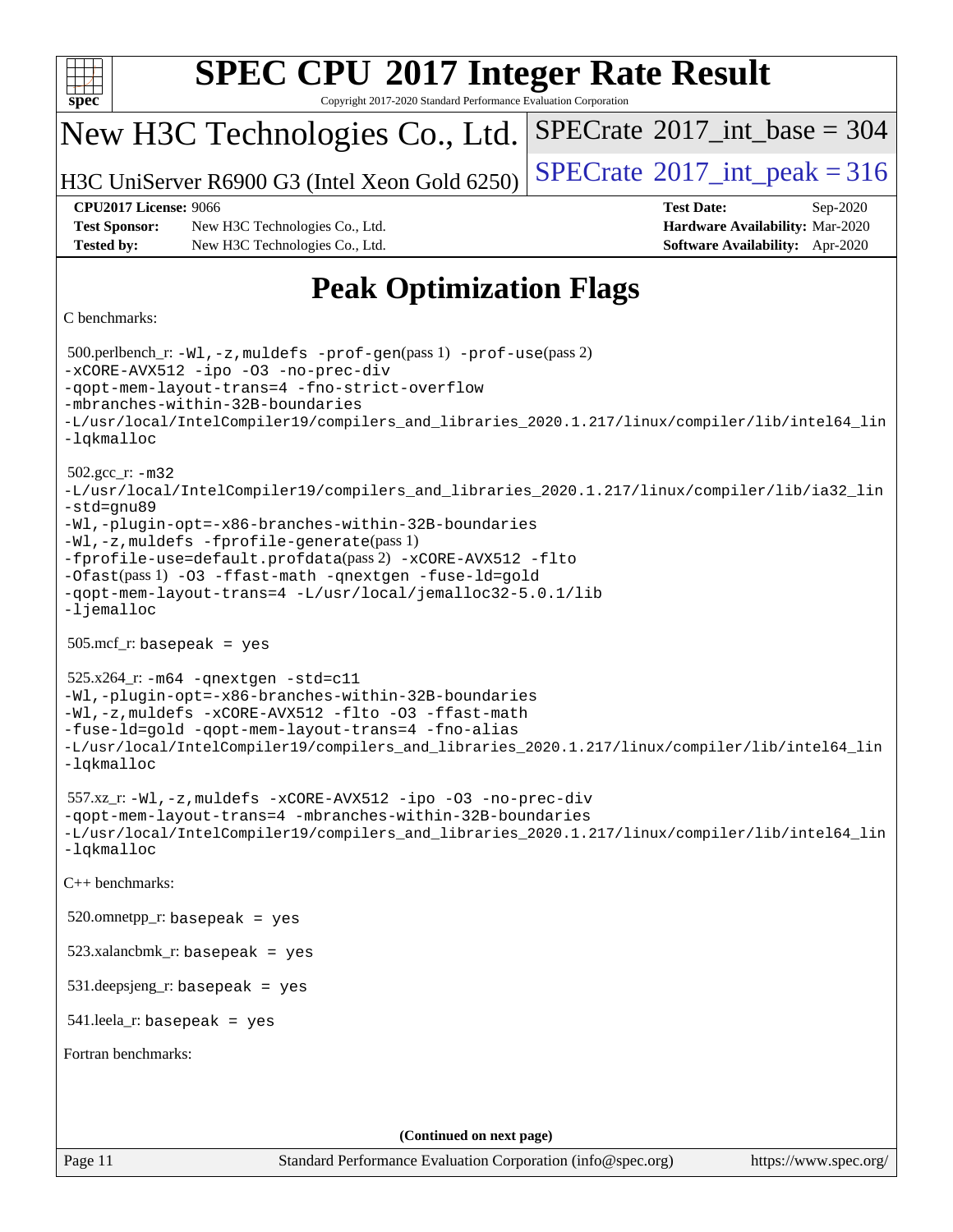| <b>SPEC CPU®2017 Integer Rate Result</b>                                                                                                                                                                                                                                                                                                                                                                                                      |                                                                                                     |  |  |  |  |
|-----------------------------------------------------------------------------------------------------------------------------------------------------------------------------------------------------------------------------------------------------------------------------------------------------------------------------------------------------------------------------------------------------------------------------------------------|-----------------------------------------------------------------------------------------------------|--|--|--|--|
| spec <sup>®</sup><br>Copyright 2017-2020 Standard Performance Evaluation Corporation                                                                                                                                                                                                                                                                                                                                                          |                                                                                                     |  |  |  |  |
| New H3C Technologies Co., Ltd.                                                                                                                                                                                                                                                                                                                                                                                                                | $SPECrate^{\circ}2017\_int\_base = 304$                                                             |  |  |  |  |
| H3C UniServer R6900 G3 (Intel Xeon Gold 6250)                                                                                                                                                                                                                                                                                                                                                                                                 | $SPECTate$ <sup>®</sup> 2017_int_peak = 316                                                         |  |  |  |  |
| <b>CPU2017 License: 9066</b><br><b>Test Sponsor:</b><br>New H3C Technologies Co., Ltd.<br><b>Tested by:</b><br>New H3C Technologies Co., Ltd.                                                                                                                                                                                                                                                                                                 | <b>Test Date:</b><br>Sep-2020<br>Hardware Availability: Mar-2020<br>Software Availability: Apr-2020 |  |  |  |  |
|                                                                                                                                                                                                                                                                                                                                                                                                                                               |                                                                                                     |  |  |  |  |
| <b>Peak Optimization Flags</b><br>C benchmarks:                                                                                                                                                                                                                                                                                                                                                                                               |                                                                                                     |  |  |  |  |
| 500.perlbench_r: -Wl, -z, muldefs -prof-gen(pass 1) -prof-use(pass 2)<br>-xCORE-AVX512 -ipo -03 -no-prec-div<br>-gopt-mem-layout-trans=4 -fno-strict-overflow<br>-mbranches-within-32B-boundaries<br>-L/usr/local/IntelCompiler19/compilers_and_libraries_2020.1.217/linux/compiler/lib/intel64_lin<br>-lqkmalloc                                                                                                                             |                                                                                                     |  |  |  |  |
| $502.gcc_r$ : $-m32$<br>-L/usr/local/IntelCompiler19/compilers_and_libraries_2020.1.217/linux/compiler/lib/ia32_lin<br>-std=gnu89<br>-Wl,-plugin-opt=-x86-branches-within-32B-boundaries<br>-Wl,-z, muldefs -fprofile-generate(pass 1)<br>-fprofile-use=default.profdata(pass 2) -xCORE-AVX512 -flto<br>-Ofast(pass 1) -03 -ffast-math -qnextgen -fuse-ld=gold<br>-qopt-mem-layout-trans=4 -L/usr/local/jemalloc32-5.0.1/lib<br>$-lj$ emalloc |                                                                                                     |  |  |  |  |
| $505.\text{mcf}_r$ : basepeak = yes                                                                                                                                                                                                                                                                                                                                                                                                           |                                                                                                     |  |  |  |  |
| $525.x264$ _r: $-m64$ -qnextgen -std=c11<br>-Wl,-plugin-opt=-x86-branches-within-32B-boundaries<br>-Wl,-z, muldefs -xCORE-AVX512 -flto -03 -ffast-math<br>-fuse-ld=gold -qopt-mem-layout-trans=4 -fno-alias<br>-L/usr/local/IntelCompiler19/compilers_and_libraries_2020.1.217/linux/compiler/lib/intel64_lin<br>$-lq$ kmalloc                                                                                                                |                                                                                                     |  |  |  |  |
| 557.xz_r:-Wl,-z, muldefs -xCORE-AVX512 -ipo -03 -no-prec-div<br>-qopt-mem-layout-trans=4 -mbranches-within-32B-boundaries<br>-L/usr/local/IntelCompiler19/compilers_and_libraries_2020.1.217/linux/compiler/lib/intel64_lin<br>$-lq$ kmalloc                                                                                                                                                                                                  |                                                                                                     |  |  |  |  |
| C++ benchmarks:                                                                                                                                                                                                                                                                                                                                                                                                                               |                                                                                                     |  |  |  |  |
| $520.$ omnetpp_r: basepeak = yes                                                                                                                                                                                                                                                                                                                                                                                                              |                                                                                                     |  |  |  |  |
| $523.xalanchmk_r: basepeak = yes$                                                                                                                                                                                                                                                                                                                                                                                                             |                                                                                                     |  |  |  |  |
| $531$ .deepsjeng_r: basepeak = yes                                                                                                                                                                                                                                                                                                                                                                                                            |                                                                                                     |  |  |  |  |
| $541$ .leela_r: basepeak = yes                                                                                                                                                                                                                                                                                                                                                                                                                |                                                                                                     |  |  |  |  |
| Fortran benchmarks:                                                                                                                                                                                                                                                                                                                                                                                                                           |                                                                                                     |  |  |  |  |
|                                                                                                                                                                                                                                                                                                                                                                                                                                               |                                                                                                     |  |  |  |  |
| (Continued on next page)                                                                                                                                                                                                                                                                                                                                                                                                                      |                                                                                                     |  |  |  |  |
| Page 11<br>Standard Performance Evaluation Corporation (info@spec.org)                                                                                                                                                                                                                                                                                                                                                                        | https://www.spec.org/                                                                               |  |  |  |  |